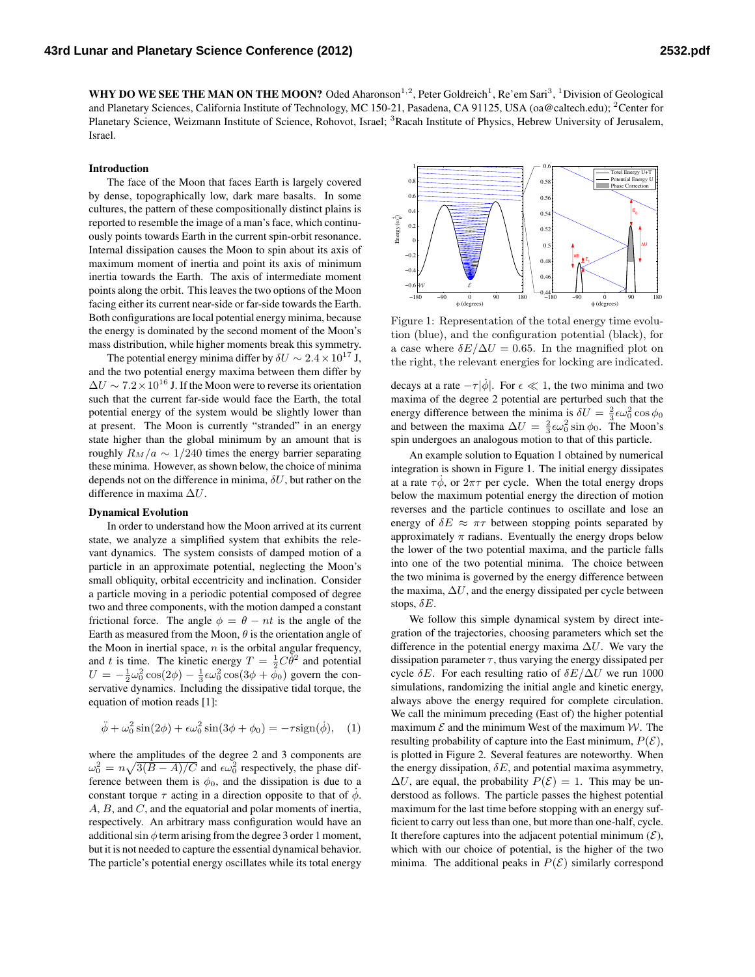WHY DO WE SEE THE MAN ON THE MOON? Oded Aharonson<sup>1,2</sup>, Peter Goldreich<sup>1</sup>, Re'em Sari<sup>3</sup>, <sup>1</sup>Division of Geological and Planetary Sciences, California Institute of Technology, MC 150-21, Pasadena, CA 91125, USA (oa@caltech.edu); <sup>2</sup>Center for Planetary Science, Weizmann Institute of Science, Rohovot, Israel; <sup>3</sup>Racah Institute of Physics, Hebrew University of Jerusalem, Israel.

## Introduction

The face of the Moon that faces Earth is largely covered by dense, topographically low, dark mare basalts. In some cultures, the pattern of these compositionally distinct plains is reported to resemble the image of a man's face, which continuously points towards Earth in the current spin-orbit resonance. Internal dissipation causes the Moon to spin about its axis of maximum moment of inertia and point its axis of minimum inertia towards the Earth. The axis of intermediate moment points along the orbit. This leaves the two options of the Moon facing either its current near-side or far-side towards the Earth. Both configurations are local potential energy minima, because the energy is dominated by the second moment of the Moon's mass distribution, while higher moments break this symmetry.

The potential energy minima differ by  $\delta U \sim 2.4 \times 10^{17}$  J, and the two potential energy maxima between them differ by  $\Delta U \sim 7.2 \times 10^{16}$  J. If the Moon were to reverse its orientation such that the current far-side would face the Earth, the total potential energy of the system would be slightly lower than at present. The Moon is currently "stranded" in an energy state higher than the global minimum by an amount that is roughly  $R_M/a \sim 1/240$  times the energy barrier separating these minima. However, as shown below, the choice of minima depends not on the difference in minima,  $\delta U$ , but rather on the difference in maxima ∆U.

## Dynamical Evolution

In order to understand how the Moon arrived at its current state, we analyze a simplified system that exhibits the relevant dynamics. The system consists of damped motion of a particle in an approximate potential, neglecting the Moon's small obliquity, orbital eccentricity and inclination. Consider a particle moving in a periodic potential composed of degree two and three components, with the motion damped a constant frictional force. The angle  $\phi = \theta - nt$  is the angle of the Earth as measured from the Moon,  $\theta$  is the orientation angle of the Moon in inertial space,  $n$  is the orbital angular frequency, and t is time. The kinetic energy  $T = \frac{1}{2}C\bar{\theta}^2$  and potential  $U = -\frac{1}{2}\omega_0^2 \cos(2\phi) - \frac{1}{3}\epsilon \omega_0^2 \cos(3\phi + \bar{\phi}_0)$  govern the conservative dynamics. Including the dissipative tidal torque, the equation of motion reads [1]:

$$
\ddot{\phi} + \omega_0^2 \sin(2\phi) + \epsilon \omega_0^2 \sin(3\phi + \phi_0) = -\tau \text{sign}(\dot{\phi}), \quad (1)
$$

where the amplitudes of the degree 2 and 3 components are  $\omega_0^2 = n\sqrt{3(B-A)/C}$  and  $\epsilon \omega_0^2$  respectively, the phase difference between them is  $\phi_0$ , and the dissipation is due to a constant torque  $\tau$  acting in a direction opposite to that of  $\dot{\phi}$ . A, B, and C, and the equatorial and polar moments of inertia, respectively. An arbitrary mass configuration would have an additional sin  $\phi$  term arising from the degree 3 order 1 moment, but it is not needed to capture the essential dynamical behavior. The particle's potential energy oscillates while its total energy



Figure 1: Representation of the total energy time evolution (blue), and the configuration potential (black), for a case where  $\delta E/\Delta U = 0.65$ . In the magnified plot on the right, the relevant energies for locking are indicated.

decays at a rate  $-\tau |\dot{\phi}|$ . For  $\epsilon \ll 1$ , the two minima and two maxima of the degree 2 potential are perturbed such that the energy difference between the minima is  $\delta U = \frac{2}{3} \epsilon \omega_0^2 \cos \phi_0$ and between the maxima  $\Delta U = \frac{2}{3} \epsilon \omega_0^2 \sin \phi_0$ . The Moon's spin undergoes an analogous motion to that of this particle.

An example solution to Equation 1 obtained by numerical integration is shown in Figure 1. The initial energy dissipates at a rate  $\tau \dot{\phi}$ , or  $2\pi\tau$  per cycle. When the total energy drops below the maximum potential energy the direction of motion reverses and the particle continues to oscillate and lose an energy of  $\delta E \approx \pi \tau$  between stopping points separated by approximately  $\pi$  radians. Eventually the energy drops below the lower of the two potential maxima, and the particle falls into one of the two potential minima. The choice between the two minima is governed by the energy difference between the maxima,  $\Delta U$ , and the energy dissipated per cycle between stops,  $\delta E$ .

We follow this simple dynamical system by direct integration of the trajectories, choosing parameters which set the difference in the potential energy maxima  $\Delta U$ . We vary the dissipation parameter  $\tau$ , thus varying the energy dissipated per cycle  $\delta E$ . For each resulting ratio of  $\delta E/\Delta U$  we run 1000 simulations, randomizing the initial angle and kinetic energy, always above the energy required for complete circulation. We call the minimum preceding (East of) the higher potential maximum  $\mathcal E$  and the minimum West of the maximum  $\mathcal W$ . The resulting probability of capture into the East minimum,  $P(\mathcal{E})$ , is plotted in Figure 2. Several features are noteworthy. When the energy dissipation,  $\delta E$ , and potential maxima asymmetry,  $\Delta U$ , are equal, the probability  $P(\mathcal{E}) = 1$ . This may be understood as follows. The particle passes the highest potential maximum for the last time before stopping with an energy sufficient to carry out less than one, but more than one-half, cycle. It therefore captures into the adjacent potential minimum  $(\mathcal{E}),$ which with our choice of potential, is the higher of the two minima. The additional peaks in  $P(\mathcal{E})$  similarly correspond